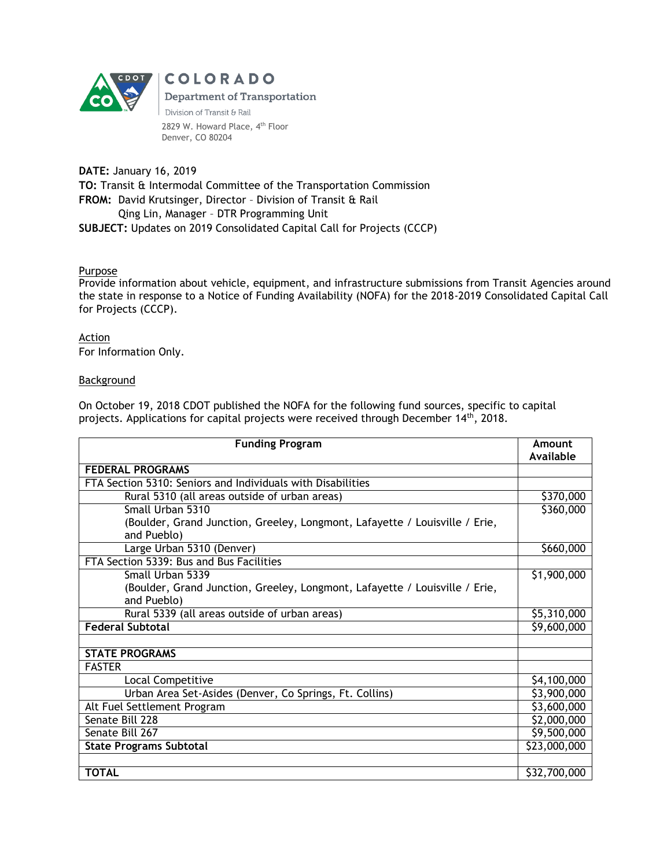

**COLORADO Department of Transportation** Division of Transit & Rail 2829 W. Howard Place, 4<sup>th</sup> Floor Denver, CO 80204

**DATE:** January 16, 2019 **TO:** Transit & Intermodal Committee of the Transportation Commission **FROM:** David Krutsinger, Director – Division of Transit & Rail Qing Lin, Manager – DTR Programming Unit **SUBJECT:** Updates on 2019 Consolidated Capital Call for Projects (CCCP)

## Purpose

Provide information about vehicle, equipment, and infrastructure submissions from Transit Agencies around the state in response to a Notice of Funding Availability (NOFA) for the 2018-2019 Consolidated Capital Call for Projects (CCCP).

Action For Information Only.

## Background

On October 19, 2018 CDOT published the NOFA for the following fund sources, specific to capital projects. Applications for capital projects were received through December 14<sup>th</sup>, 2018.

| <b>Funding Program</b>                                                                     | Amount<br>Available |  |
|--------------------------------------------------------------------------------------------|---------------------|--|
| <b>FEDERAL PROGRAMS</b>                                                                    |                     |  |
| FTA Section 5310: Seniors and Individuals with Disabilities                                |                     |  |
| Rural 5310 (all areas outside of urban areas)                                              | \$370,000           |  |
| Small Urban 5310                                                                           | \$360,000           |  |
| (Boulder, Grand Junction, Greeley, Longmont, Lafayette / Louisville / Erie,<br>and Pueblo) |                     |  |
| Large Urban 5310 (Denver)                                                                  | \$660,000           |  |
| FTA Section 5339: Bus and Bus Facilities                                                   |                     |  |
| Small Urban 5339                                                                           | \$1,900,000         |  |
| (Boulder, Grand Junction, Greeley, Longmont, Lafayette / Louisville / Erie,<br>and Pueblo) |                     |  |
| Rural 5339 (all areas outside of urban areas)                                              | \$5,310,000         |  |
| <b>Federal Subtotal</b>                                                                    |                     |  |
|                                                                                            |                     |  |
| <b>STATE PROGRAMS</b>                                                                      |                     |  |
| <b>FASTER</b>                                                                              | \$4,100,000         |  |
| <b>Local Competitive</b>                                                                   |                     |  |
| Urban Area Set-Asides (Denver, Co Springs, Ft. Collins)                                    | \$3,900,000         |  |
| Alt Fuel Settlement Program                                                                |                     |  |
| Senate Bill 228                                                                            |                     |  |
| Senate Bill 267                                                                            |                     |  |
| <b>State Programs Subtotal</b>                                                             |                     |  |
|                                                                                            |                     |  |
| <b>TOTAL</b>                                                                               | \$32,700,000        |  |